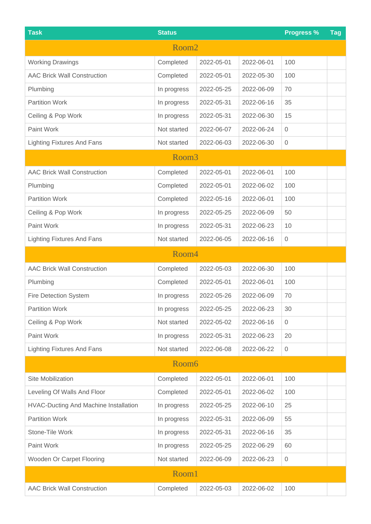| <b>Task</b>                                  | <b>Status</b> |            |            | <b>Progress %</b>   | <b>Tag</b> |  |  |  |  |  |
|----------------------------------------------|---------------|------------|------------|---------------------|------------|--|--|--|--|--|
| Room <sub>2</sub>                            |               |            |            |                     |            |  |  |  |  |  |
| <b>Working Drawings</b>                      | Completed     | 2022-05-01 | 2022-06-01 | 100                 |            |  |  |  |  |  |
| <b>AAC Brick Wall Construction</b>           | Completed     | 2022-05-01 | 2022-05-30 | 100                 |            |  |  |  |  |  |
| Plumbing                                     | In progress   | 2022-05-25 | 2022-06-09 | 70                  |            |  |  |  |  |  |
| <b>Partition Work</b>                        | In progress   | 2022-05-31 | 2022-06-16 | 35                  |            |  |  |  |  |  |
| Ceiling & Pop Work                           | In progress   | 2022-05-31 | 2022-06-30 | 15                  |            |  |  |  |  |  |
| Paint Work                                   | Not started   | 2022-06-07 | 2022-06-24 | $\mathbf 0$         |            |  |  |  |  |  |
| <b>Lighting Fixtures And Fans</b>            | Not started   | 2022-06-03 | 2022-06-30 | $\mathbf 0$         |            |  |  |  |  |  |
| Room <sub>3</sub>                            |               |            |            |                     |            |  |  |  |  |  |
| <b>AAC Brick Wall Construction</b>           | Completed     | 2022-05-01 | 2022-06-01 | 100                 |            |  |  |  |  |  |
| Plumbing                                     | Completed     | 2022-05-01 | 2022-06-02 | 100                 |            |  |  |  |  |  |
| <b>Partition Work</b>                        | Completed     | 2022-05-16 | 2022-06-01 | 100                 |            |  |  |  |  |  |
| Ceiling & Pop Work                           | In progress   | 2022-05-25 | 2022-06-09 | 50                  |            |  |  |  |  |  |
| Paint Work                                   | In progress   | 2022-05-31 | 2022-06-23 | 10                  |            |  |  |  |  |  |
| <b>Lighting Fixtures And Fans</b>            | Not started   | 2022-06-05 | 2022-06-16 | $\mathbf 0$         |            |  |  |  |  |  |
| Room4                                        |               |            |            |                     |            |  |  |  |  |  |
| <b>AAC Brick Wall Construction</b>           | Completed     | 2022-05-03 | 2022-06-30 | 100                 |            |  |  |  |  |  |
| Plumbing                                     | Completed     | 2022-05-01 | 2022-06-01 | 100                 |            |  |  |  |  |  |
| <b>Fire Detection System</b>                 | In progress   | 2022-05-26 | 2022-06-09 | 70                  |            |  |  |  |  |  |
| <b>Partition Work</b>                        | In progress   | 2022-05-25 | 2022-06-23 | 30                  |            |  |  |  |  |  |
| Ceiling & Pop Work                           | Not started   | 2022-05-02 | 2022-06-16 | $\mathbf 0$         |            |  |  |  |  |  |
| Paint Work                                   | In progress   | 2022-05-31 | 2022-06-23 | 20                  |            |  |  |  |  |  |
| <b>Lighting Fixtures And Fans</b>            | Not started   | 2022-06-08 | 2022-06-22 | $\mathbf 0$         |            |  |  |  |  |  |
| Room6                                        |               |            |            |                     |            |  |  |  |  |  |
| Site Mobilization                            | Completed     | 2022-05-01 | 2022-06-01 | 100                 |            |  |  |  |  |  |
| Leveling Of Walls And Floor                  | Completed     | 2022-05-01 | 2022-06-02 | 100                 |            |  |  |  |  |  |
| <b>HVAC-Ducting And Machine Installation</b> | In progress   | 2022-05-25 | 2022-06-10 | 25                  |            |  |  |  |  |  |
| <b>Partition Work</b>                        | In progress   | 2022-05-31 | 2022-06-09 | 55                  |            |  |  |  |  |  |
| Stone-Tile Work                              | In progress   | 2022-05-31 | 2022-06-16 | 35                  |            |  |  |  |  |  |
| Paint Work                                   | In progress   | 2022-05-25 | 2022-06-29 | 60                  |            |  |  |  |  |  |
| Wooden Or Carpet Flooring                    | Not started   | 2022-06-09 | 2022-06-23 | $\mathsf{O}\xspace$ |            |  |  |  |  |  |
| Room1                                        |               |            |            |                     |            |  |  |  |  |  |
| <b>AAC Brick Wall Construction</b>           | Completed     | 2022-05-03 | 2022-06-02 | 100                 |            |  |  |  |  |  |